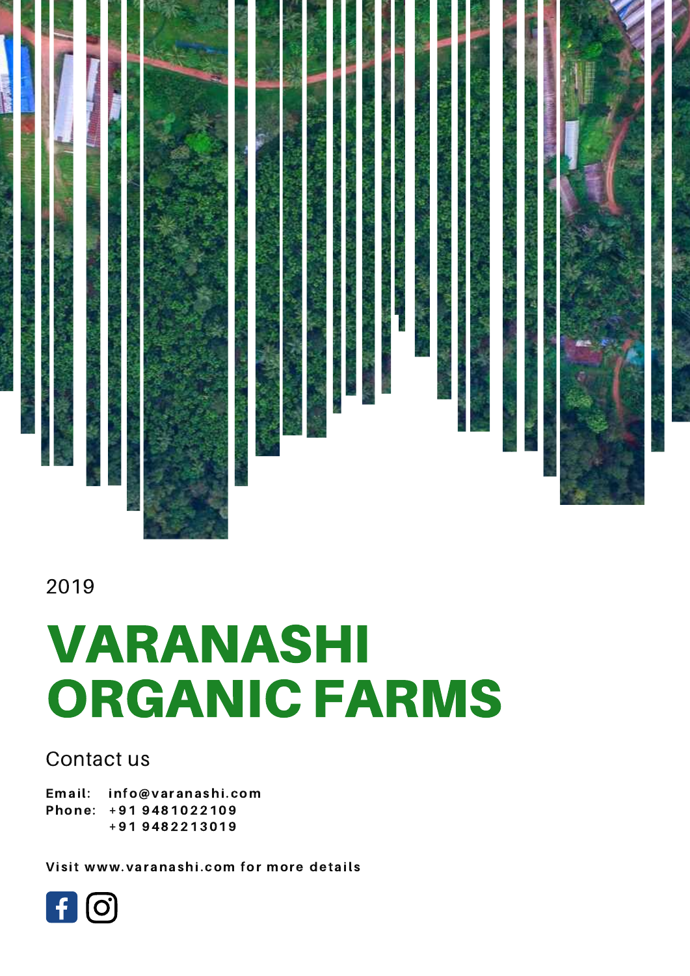

#### 2019

# VARANASHI ORGANIC FARMS

#### Contact us

Email: Phone: +91 9481022109 info@varanashi.com +91 9482213019

Visit www.varanashi.com for more details

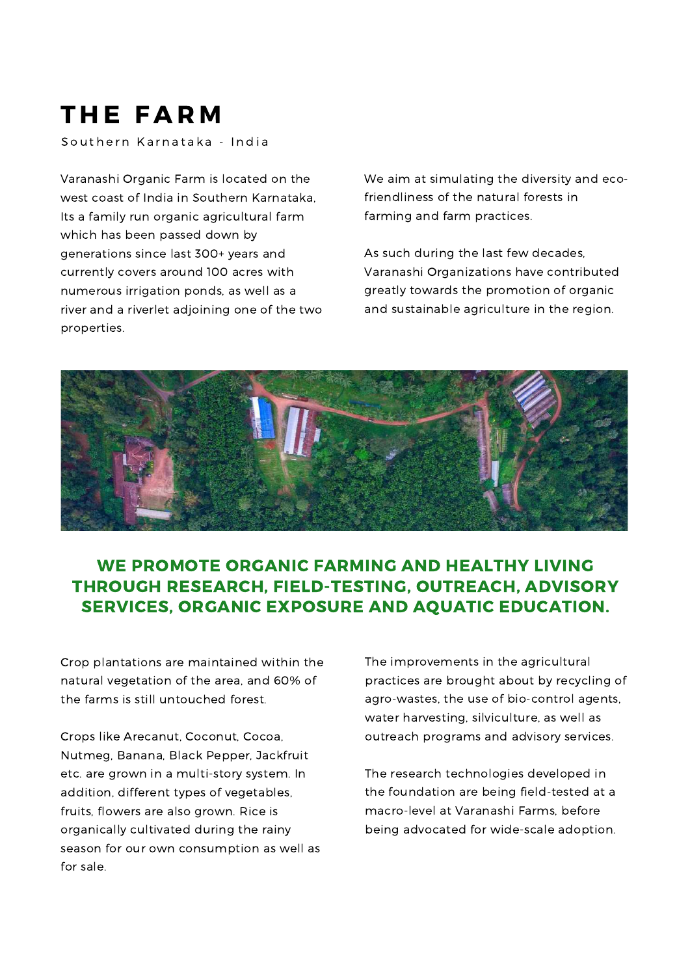### THE FARM

Southern Karnataka - India

Varanashi Organic Farm is located on the west coast of India in Southern Karnataka, Its a family run organic agricultural farm which has been passed down by generations since last 300+ years and currently covers around 100 acres with numerous irrigation ponds, as well as a river and a riverlet adjoining one of the two properties.

We aim at simulating the diversity and ecofriendliness of the natural forests in farming and farm practices.

As such during the last few decades, Varanashi Organizations have contributed greatly towards the promotion of organic and sustainable agriculture in the region.



#### WE PROMOTE ORGANIC FARMING AND HEALTHY LIVING THROUGH RESEARCH, FIELD-TESTING, OUTREACH, ADVISORY SERVICES, ORGANIC EXPOSURE AND AQUATIC EDUCATION.

Crop plantations are maintained within the natural vegetation of the area, and 60% of the farms is still untouched forest.

Crops like Arecanut, Coconut, Cocoa, Nutmeg, Banana, Black Pepper, Jackfruit etc. are grown in a multi-story system. In addition, different types of vegetables, fruits, flowers are also grown. Rice is organically cultivated during the rainy season for our own consumption as well as for sale.

The improvements in the agricultural practices are brought about by recycling of agro-wastes, the use of bio-control agents, water harvesting, silviculture, as well as outreach programs and advisory services.

The research technologies developed in the foundation are being field-tested at a macro-level at Varanashi Farms, before being advocated for wide-scale adoption.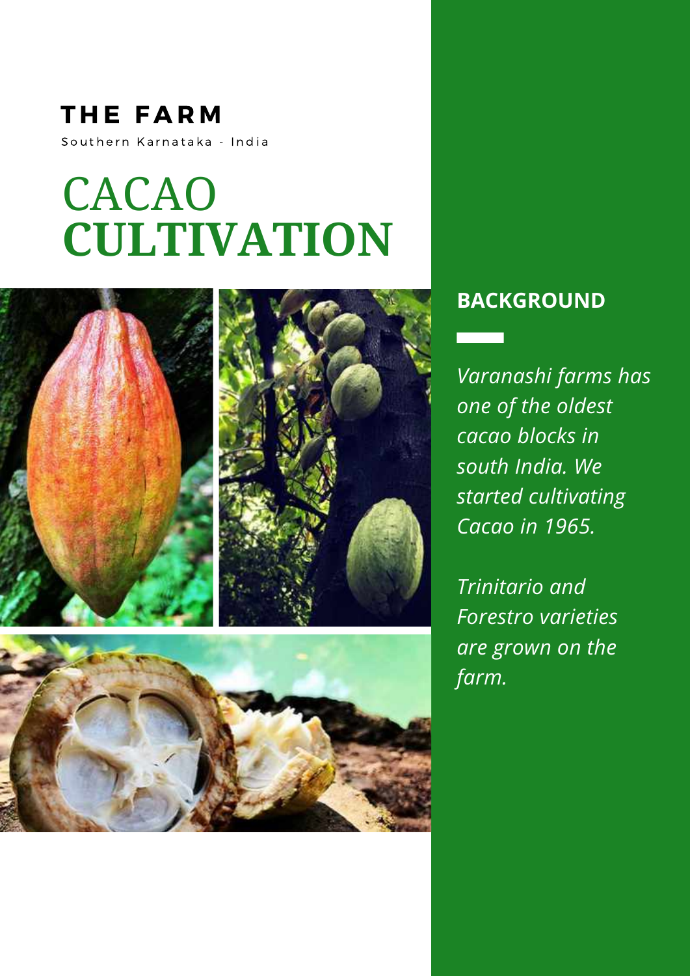### **THE FARM** Southern Karnataka - India

# CACAO **CULTIVATION**



#### **BACKGROUND**

*Varanashi farms has one of the oldest cacao blocks in south India. We started cultivating Cacao in 1965.*

*Trinitario and Forestro varieties are grown on the farm.*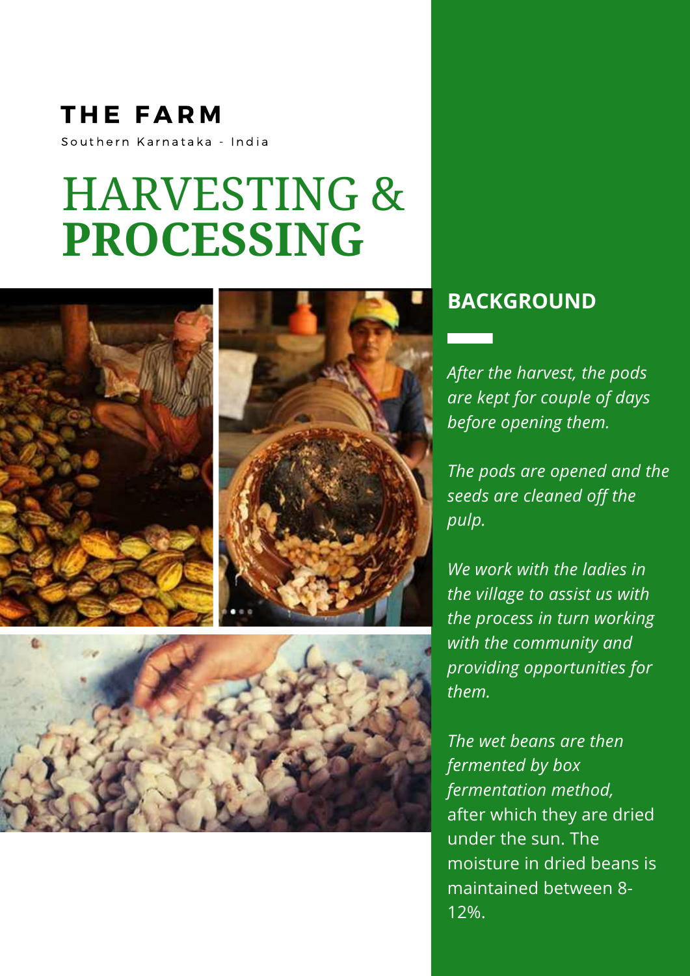### THE FARM Southern Karnataka - India

### HARVESTING & **PROCESSING**



#### **BACKGROUND**

*After the harvest, the pods are kept for couple of days before opening them.*

*The pods are opened and the seeds are cleaned off the pulp.*

*We work with the ladies in the village to assist us with the process in turn working with the community and providing opportunities for them.*

*The wet beans are then fermented by box fermentation method,* after which they are dried under the sun. The moisture in dried beans is maintained between 8- 12%.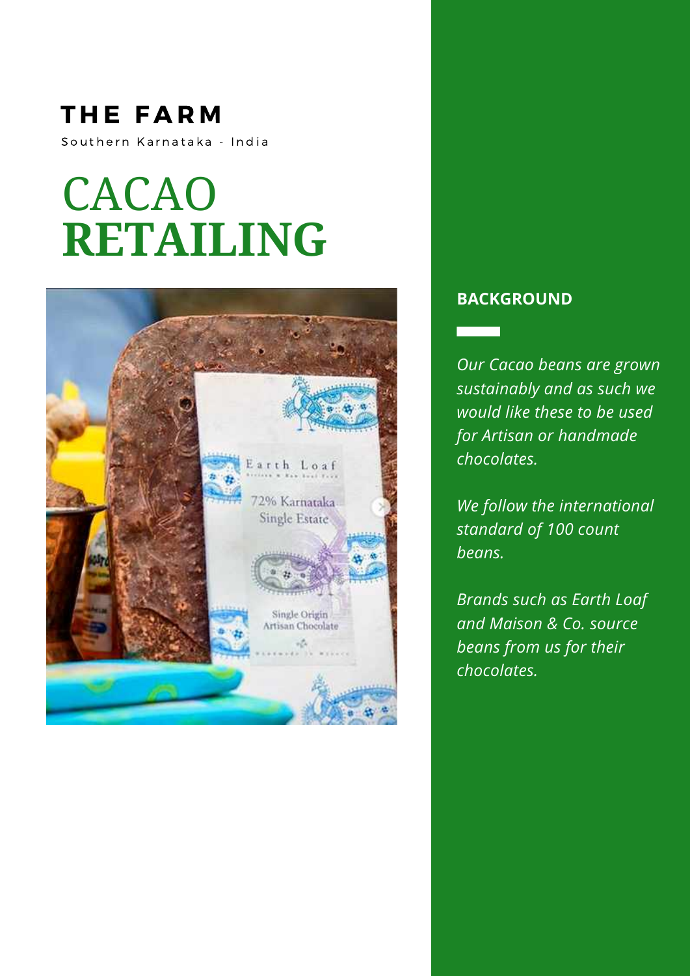### **THE FARM** Southern Karnataka - India

## CACAO **RETAILING**



#### **BACKGROUND**

 $\overline{\phantom{0}}$ 

*Our Cacao beans are grown sustainably and as such we would like these to be used for Artisan or handmade chocolates.*

*We follow the international standard of 100 count beans.*

*Brands such as Earth Loaf and Maison & Co. source beans from us for their chocolates.*